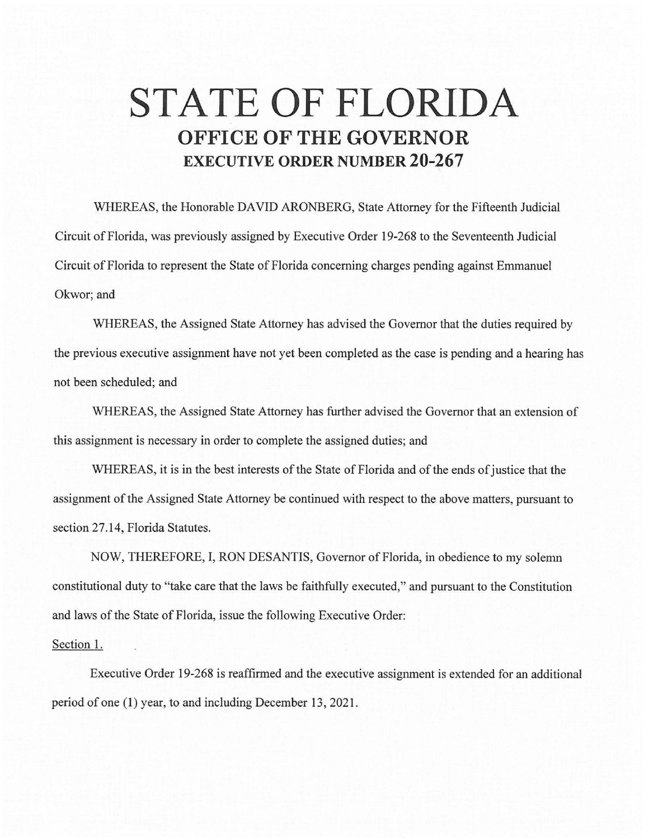## **STATE OF FLORIDA OFFICE OF THE GOVERNOR EXECUTIVE ORDER NUMBER 20-267**

WHEREAS, the Honorable DAVID ARONBERG, State Attorney for the Fifteenth Judicial Circuit of Florida, was previously assigned by Executive Order 19-268 to the Seventeenth Judicial Circuit of Florida to represent the State of Florida concerning charges pending against Emmanuel Okwor; and

WHEREAS, the Assigned State Attorney has advised the Governor that the duties required by the previous executive assignment have not yet been completed as the case is pending and a hearing has not been scheduled; and

WHEREAS, the Assigned State Attorney has further advised the Governor that an extension of this assignment is necessary in order to complete the assigned duties; and

WHEREAS, it is in the best interests of the State of Florida and of the ends of justice that the assignment of the Assigned State Attorney be continued with respect to the above matters, pursuant to section 27.14, Florida Statutes.

NOW, THEREFORE, I, RON DESANTIS, Governor of Florida, in obedience to my solemn constitutional duty to "take care that the laws be faithfully executed," and pursuant to the Constitution and laws of the State of Florida, issue the following Executive Order:

## Section 1.

Executive Order 19-268 is reaffirmed and the executive assignment is extended for an additional period of one (1) year, to and including December 13, 2021.